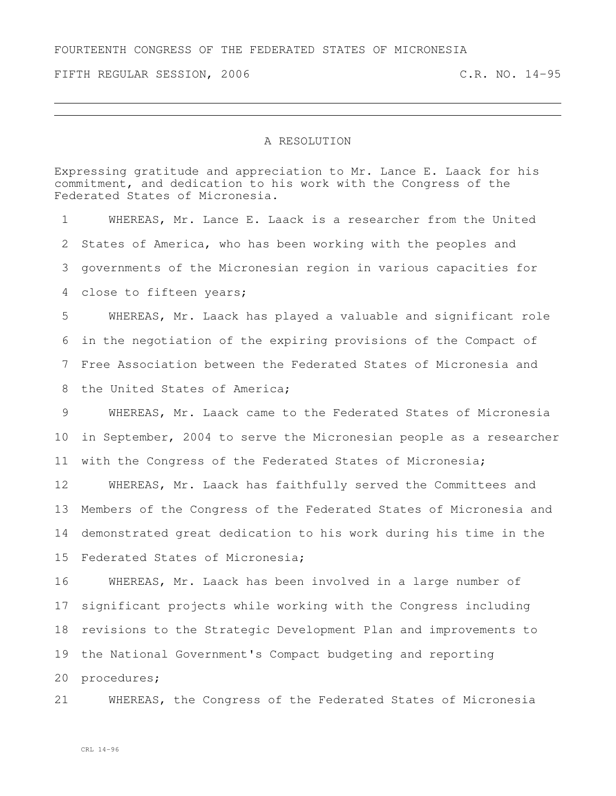FOURTEENTH CONGRESS OF THE FEDERATED STATES OF MICRONESIA

FIFTH REGULAR SESSION, 2006 C.R. NO. 14-95

## A RESOLUTION

Expressing gratitude and appreciation to Mr. Lance E. Laack for his commitment, and dedication to his work with the Congress of the Federated States of Micronesia.

 WHEREAS, Mr. Lance E. Laack is a researcher from the United States of America, who has been working with the peoples and governments of the Micronesian region in various capacities for close to fifteen years; WHEREAS, Mr. Laack has played a valuable and significant role in the negotiation of the expiring provisions of the Compact of Free Association between the Federated States of Micronesia and 8 the United States of America; WHEREAS, Mr. Laack came to the Federated States of Micronesia in September, 2004 to serve the Micronesian people as a researcher with the Congress of the Federated States of Micronesia; WHEREAS, Mr. Laack has faithfully served the Committees and Members of the Congress of the Federated States of Micronesia and demonstrated great dedication to his work during his time in the Federated States of Micronesia; WHEREAS, Mr. Laack has been involved in a large number of significant projects while working with the Congress including revisions to the Strategic Development Plan and improvements to the National Government's Compact budgeting and reporting procedures; WHEREAS, the Congress of the Federated States of Micronesia